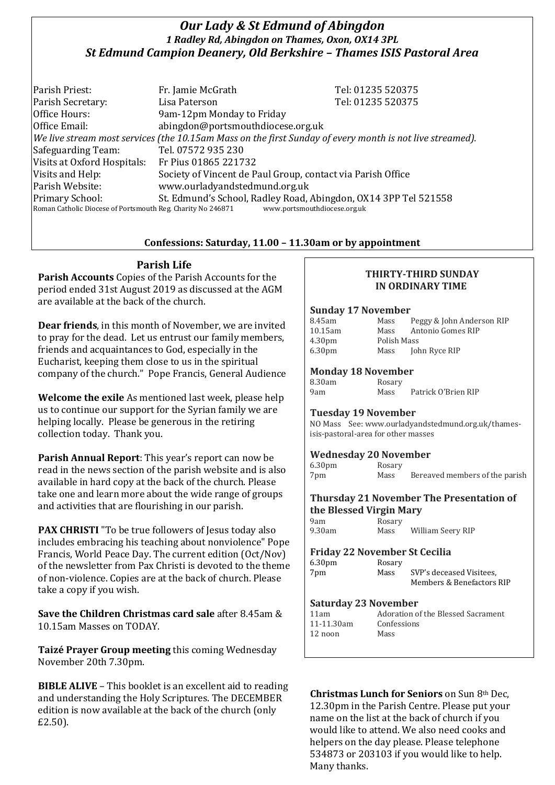# *Our Lady & St Edmund of Abingdon 1 Radley Rd, Abingdon on Thames, Oxon, OX14 3PL St Edmund Campion Deanery, Old Berkshire – Thames ISIS Pastoral Area*

Parish Priest: Fr. Jamie McGrath Tel: 01235 520375 Parish Secretary: Tel: 01235 520375 Office Hours: 9am-12pm Monday to Friday Office Email: abingdon@portsmouthdiocese.org.uk *We live stream most services (the 10.15am Mass on the first Sunday of every month is not live streamed).* Safeguarding Team: Tel. 07572 935 230 Visits at Oxford Hospitals: Fr Pius 01865 221732 Visits and Help: Society of Vincent de Paul Group, contact via Parish Office Parish Website: www.ourladyandstedmund.org.uk Primary School: St. Edmund's School, Radley Road, Abingdon, OX14 3PP Tel 521558 Roman Catholic Diocese of Portsmouth Reg. Charity No 246871 www.portsmouthdiocese.org.uk

## **Confessions: Saturday, 11.00 – 11.30am or by appointment**

# **Parish Life**

**Parish Accounts** Copies of the Parish Accounts for the period ended 31st August 2019 as discussed at the AGM are available at the back of the church.

**Dear friends**, in this month of November, we are invited to pray for the dead. Let us entrust our family members, friends and acquaintances to God, especially in the Eucharist, keeping them close to us in the spiritual company of the church." Pope Francis, General Audience

**Welcome the exile** As mentioned last week, please help us to continue our support for the Syrian family we are helping locally. Please be generous in the retiring collection today. Thank you.

**Parish Annual Report**: This year's report can now be read in the news section of the parish website and is also available in hard copy at the back of the church. Please take one and learn more about the wide range of groups and activities that are flourishing in our parish.

**PAX CHRISTI** "To be true followers of Jesus today also includes embracing his teaching about nonviolence" Pope Francis, World Peace Day. The current edition (Oct/Nov) of the newsletter from Pax Christi is devoted to the theme of non-violence. Copies are at the back of church. Please take a copy if you wish.

**Save the Children Christmas card sale** after 8.45am & 10.15am Masses on TODAY.

**Taizé Prayer Group meeting** this coming Wednesday November 20th 7.30pm.

**BIBLE ALIVE** – This booklet is an excellent aid to reading and understanding the Holy Scriptures. The DECEMBER edition is now available at the back of the church (only £2.50).

### **THIRTY-THIRD SUNDAY IN ORDINARY TIME**

#### **Sunday 17 November**

| 8.45am             | Mass        | Peggy & John Anderson RIP |
|--------------------|-------------|---------------------------|
| 10.15am            | Mass        | Antonio Gomes RIP         |
| 4.30 <sub>pm</sub> | Polish Mass |                           |
| 6.30 <sub>pm</sub> | Mass        | John Ryce RIP             |

#### **Monday 18 November**

| 8.30am | Rosary |                     |
|--------|--------|---------------------|
| 9am    | Mass   | Patrick O'Brien RIP |

#### **Tuesday 19 November**

NO Mass See: www.ourladyandstedmund.org.uk/thamesisis-pastoral-area for other masses

#### **Wednesday 20 November**

| 6.30 <sub>pm</sub> | Rosary |                                |
|--------------------|--------|--------------------------------|
| 7pm                | Mass   | Bereaved members of the parish |

#### **Thursday 21 November The Presentation of the Blessed Virgin Mary**

| 9am    | Rosary |                   |
|--------|--------|-------------------|
| 9.30am | Mass   | William Seery RIP |

#### **Friday 22 November St Cecilia**

| 6.30 <sub>pm</sub> | Rosary |                           |
|--------------------|--------|---------------------------|
| 7pm                | Mass   | SVP's deceased Visitees.  |
|                    |        | Members & Benefactors RIP |

#### **Saturday 23 November**

| 11am       | Adoration of the Blessed Sacrament |
|------------|------------------------------------|
| 11-11.30am | Confessions                        |
| 12 noon    | Mass                               |
|            |                                    |

**Christmas Lunch for Seniors** on Sun 8th Dec, 12.30pm in the Parish Centre. Please put your name on the list at the back of church if you would like to attend. We also need cooks and helpers on the day please. Please telephone 534873 or 203103 if you would like to help. Many thanks.